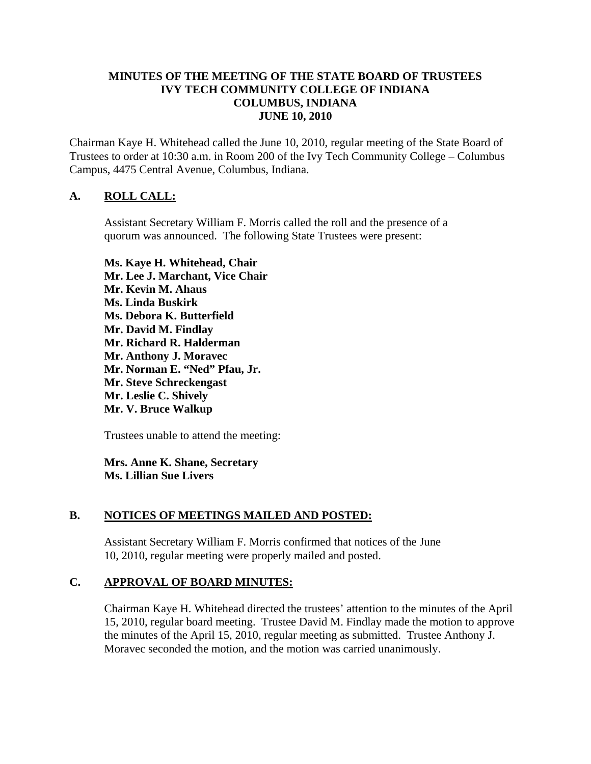## **MINUTES OF THE MEETING OF THE STATE BOARD OF TRUSTEES IVY TECH COMMUNITY COLLEGE OF INDIANA COLUMBUS, INDIANA JUNE 10, 2010**

Chairman Kaye H. Whitehead called the June 10, 2010, regular meeting of the State Board of Trustees to order at 10:30 a.m. in Room 200 of the Ivy Tech Community College – Columbus Campus, 4475 Central Avenue, Columbus, Indiana.

## **A. ROLL CALL:**

Assistant Secretary William F. Morris called the roll and the presence of a quorum was announced. The following State Trustees were present:

**Ms. Kaye H. Whitehead, Chair Mr. Lee J. Marchant, Vice Chair Mr. Kevin M. Ahaus Ms. Linda Buskirk Ms. Debora K. Butterfield Mr. David M. Findlay Mr. Richard R. Halderman Mr. Anthony J. Moravec Mr. Norman E. "Ned" Pfau, Jr. Mr. Steve Schreckengast Mr. Leslie C. Shively Mr. V. Bruce Walkup** 

Trustees unable to attend the meeting:

**Mrs. Anne K. Shane, Secretary Ms. Lillian Sue Livers** 

### **B. NOTICES OF MEETINGS MAILED AND POSTED:**

Assistant Secretary William F. Morris confirmed that notices of the June 10, 2010, regular meeting were properly mailed and posted.

### **C. APPROVAL OF BOARD MINUTES:**

Chairman Kaye H. Whitehead directed the trustees' attention to the minutes of the April 15, 2010, regular board meeting. Trustee David M. Findlay made the motion to approve the minutes of the April 15, 2010, regular meeting as submitted. Trustee Anthony J. Moravec seconded the motion, and the motion was carried unanimously.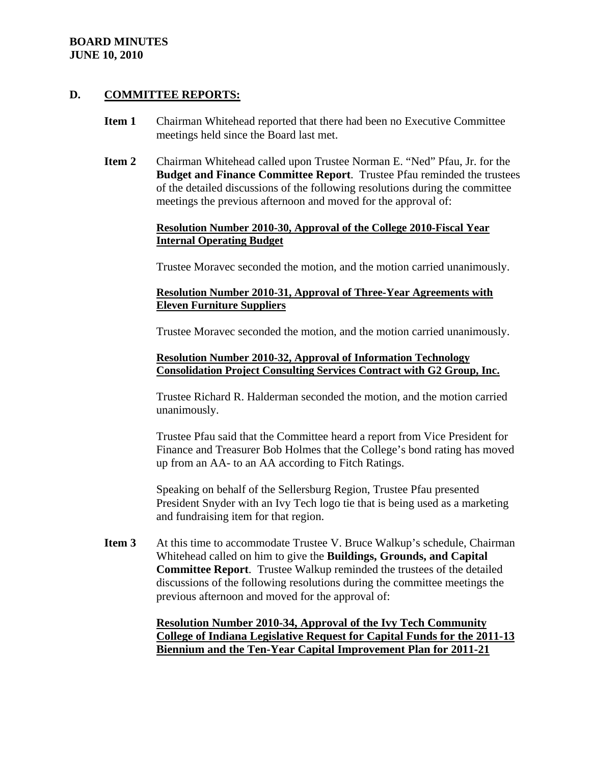## **D. COMMITTEE REPORTS:**

- **Item 1** Chairman Whitehead reported that there had been no Executive Committee meetings held since the Board last met.
- **Item 2** Chairman Whitehead called upon Trustee Norman E. "Ned" Pfau, Jr. for the **Budget and Finance Committee Report**. Trustee Pfau reminded the trustees of the detailed discussions of the following resolutions during the committee meetings the previous afternoon and moved for the approval of:

### **Resolution Number 2010-30, Approval of the College 2010-Fiscal Year Internal Operating Budget**

Trustee Moravec seconded the motion, and the motion carried unanimously.

#### **Resolution Number 2010-31, Approval of Three-Year Agreements with Eleven Furniture Suppliers**

Trustee Moravec seconded the motion, and the motion carried unanimously.

## **Resolution Number 2010-32, Approval of Information Technology Consolidation Project Consulting Services Contract with G2 Group, Inc.**

Trustee Richard R. Halderman seconded the motion, and the motion carried unanimously.

Trustee Pfau said that the Committee heard a report from Vice President for Finance and Treasurer Bob Holmes that the College's bond rating has moved up from an AA- to an AA according to Fitch Ratings.

Speaking on behalf of the Sellersburg Region, Trustee Pfau presented President Snyder with an Ivy Tech logo tie that is being used as a marketing and fundraising item for that region.

**Item 3** At this time to accommodate Trustee V. Bruce Walkup's schedule, Chairman Whitehead called on him to give the **Buildings, Grounds, and Capital Committee Report**. Trustee Walkup reminded the trustees of the detailed discussions of the following resolutions during the committee meetings the previous afternoon and moved for the approval of:

> **Resolution Number 2010-34, Approval of the Ivy Tech Community College of Indiana Legislative Request for Capital Funds for the 2011-13 Biennium and the Ten-Year Capital Improvement Plan for 2011-21**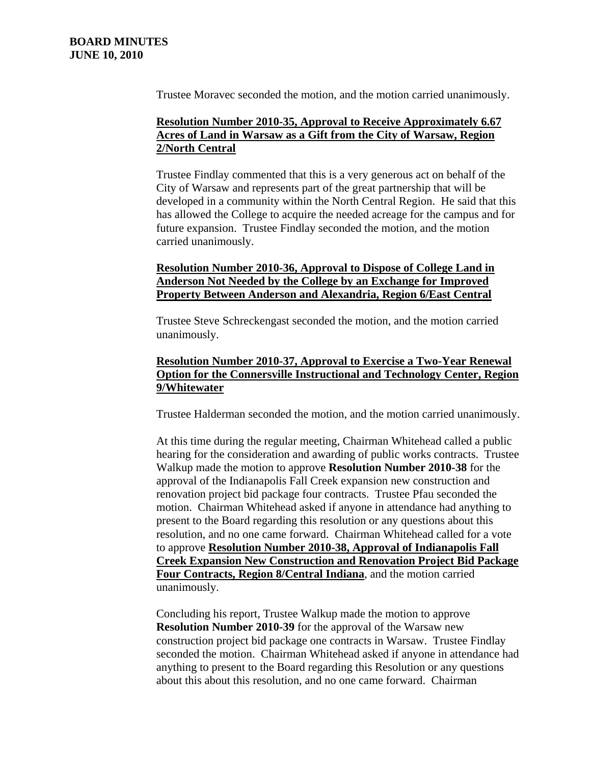Trustee Moravec seconded the motion, and the motion carried unanimously.

## **Resolution Number 2010-35, Approval to Receive Approximately 6.67 Acres of Land in Warsaw as a Gift from the City of Warsaw, Region 2/North Central**

Trustee Findlay commented that this is a very generous act on behalf of the City of Warsaw and represents part of the great partnership that will be developed in a community within the North Central Region. He said that this has allowed the College to acquire the needed acreage for the campus and for future expansion. Trustee Findlay seconded the motion, and the motion carried unanimously.

## **Resolution Number 2010-36, Approval to Dispose of College Land in Anderson Not Needed by the College by an Exchange for Improved Property Between Anderson and Alexandria, Region 6/East Central**

Trustee Steve Schreckengast seconded the motion, and the motion carried unanimously.

## **Resolution Number 2010-37, Approval to Exercise a Two-Year Renewal Option for the Connersville Instructional and Technology Center, Region 9/Whitewater**

Trustee Halderman seconded the motion, and the motion carried unanimously.

At this time during the regular meeting, Chairman Whitehead called a public hearing for the consideration and awarding of public works contracts. Trustee Walkup made the motion to approve **Resolution Number 2010-38** for the approval of the Indianapolis Fall Creek expansion new construction and renovation project bid package four contracts. Trustee Pfau seconded the motion. Chairman Whitehead asked if anyone in attendance had anything to present to the Board regarding this resolution or any questions about this resolution, and no one came forward. Chairman Whitehead called for a vote to approve **Resolution Number 2010-38, Approval of Indianapolis Fall Creek Expansion New Construction and Renovation Project Bid Package Four Contracts, Region 8/Central Indiana**, and the motion carried unanimously.

Concluding his report, Trustee Walkup made the motion to approve **Resolution Number 2010-39** for the approval of the Warsaw new construction project bid package one contracts in Warsaw. Trustee Findlay seconded the motion. Chairman Whitehead asked if anyone in attendance had anything to present to the Board regarding this Resolution or any questions about this about this resolution, and no one came forward. Chairman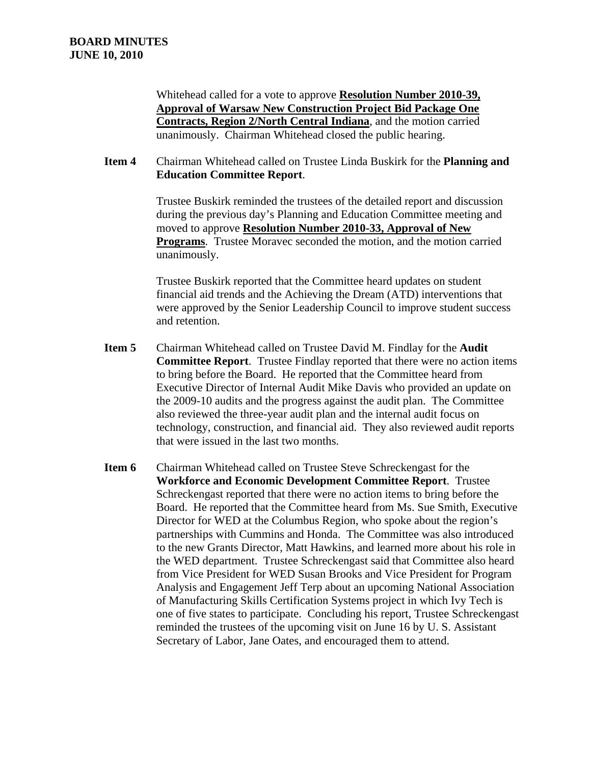Whitehead called for a vote to approve **Resolution Number 2010-39, Approval of Warsaw New Construction Project Bid Package One Contracts, Region 2/North Central Indiana**, and the motion carried unanimously. Chairman Whitehead closed the public hearing.

**Item 4** Chairman Whitehead called on Trustee Linda Buskirk for the **Planning and Education Committee Report**.

> Trustee Buskirk reminded the trustees of the detailed report and discussion during the previous day's Planning and Education Committee meeting and moved to approve **Resolution Number 2010-33, Approval of New Programs**. Trustee Moravec seconded the motion, and the motion carried unanimously.

Trustee Buskirk reported that the Committee heard updates on student financial aid trends and the Achieving the Dream (ATD) interventions that were approved by the Senior Leadership Council to improve student success and retention.

- **Item 5** Chairman Whitehead called on Trustee David M. Findlay for the **Audit Committee Report**. Trustee Findlay reported that there were no action items to bring before the Board. He reported that the Committee heard from Executive Director of Internal Audit Mike Davis who provided an update on the 2009-10 audits and the progress against the audit plan. The Committee also reviewed the three-year audit plan and the internal audit focus on technology, construction, and financial aid. They also reviewed audit reports that were issued in the last two months.
- **Item 6** Chairman Whitehead called on Trustee Steve Schreckengast for the **Workforce and Economic Development Committee Report**. Trustee Schreckengast reported that there were no action items to bring before the Board. He reported that the Committee heard from Ms. Sue Smith, Executive Director for WED at the Columbus Region, who spoke about the region's partnerships with Cummins and Honda. The Committee was also introduced to the new Grants Director, Matt Hawkins, and learned more about his role in the WED department. Trustee Schreckengast said that Committee also heard from Vice President for WED Susan Brooks and Vice President for Program Analysis and Engagement Jeff Terp about an upcoming National Association of Manufacturing Skills Certification Systems project in which Ivy Tech is one of five states to participate. Concluding his report, Trustee Schreckengast reminded the trustees of the upcoming visit on June 16 by U. S. Assistant Secretary of Labor, Jane Oates, and encouraged them to attend.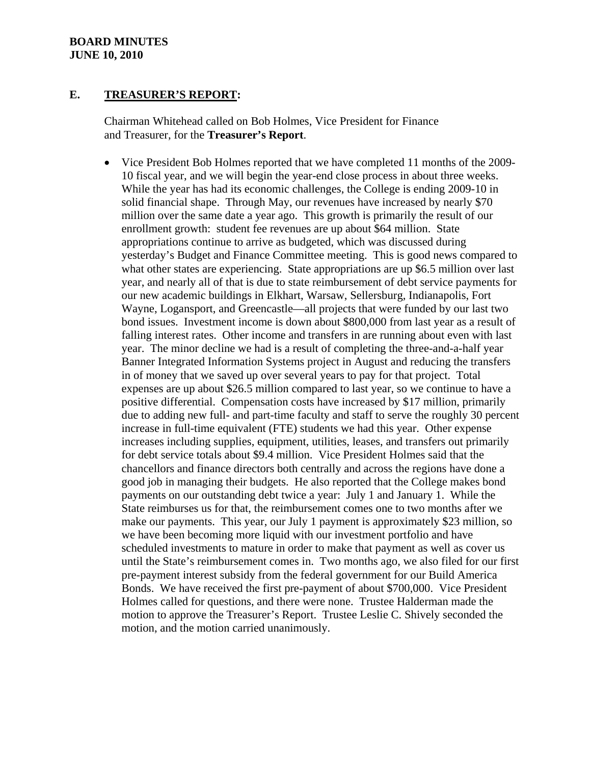### **E. TREASURER'S REPORT:**

Chairman Whitehead called on Bob Holmes, Vice President for Finance and Treasurer, for the **Treasurer's Report**.

• Vice President Bob Holmes reported that we have completed 11 months of the 2009- 10 fiscal year, and we will begin the year-end close process in about three weeks. While the year has had its economic challenges, the College is ending 2009-10 in solid financial shape. Through May, our revenues have increased by nearly \$70 million over the same date a year ago. This growth is primarily the result of our enrollment growth: student fee revenues are up about \$64 million. State appropriations continue to arrive as budgeted, which was discussed during yesterday's Budget and Finance Committee meeting. This is good news compared to what other states are experiencing. State appropriations are up \$6.5 million over last year, and nearly all of that is due to state reimbursement of debt service payments for our new academic buildings in Elkhart, Warsaw, Sellersburg, Indianapolis, Fort Wayne, Logansport, and Greencastle—all projects that were funded by our last two bond issues. Investment income is down about \$800,000 from last year as a result of falling interest rates. Other income and transfers in are running about even with last year. The minor decline we had is a result of completing the three-and-a-half year Banner Integrated Information Systems project in August and reducing the transfers in of money that we saved up over several years to pay for that project. Total expenses are up about \$26.5 million compared to last year, so we continue to have a positive differential. Compensation costs have increased by \$17 million, primarily due to adding new full- and part-time faculty and staff to serve the roughly 30 percent increase in full-time equivalent (FTE) students we had this year. Other expense increases including supplies, equipment, utilities, leases, and transfers out primarily for debt service totals about \$9.4 million. Vice President Holmes said that the chancellors and finance directors both centrally and across the regions have done a good job in managing their budgets. He also reported that the College makes bond payments on our outstanding debt twice a year: July 1 and January 1. While the State reimburses us for that, the reimbursement comes one to two months after we make our payments. This year, our July 1 payment is approximately \$23 million, so we have been becoming more liquid with our investment portfolio and have scheduled investments to mature in order to make that payment as well as cover us until the State's reimbursement comes in. Two months ago, we also filed for our first pre-payment interest subsidy from the federal government for our Build America Bonds. We have received the first pre-payment of about \$700,000. Vice President Holmes called for questions, and there were none. Trustee Halderman made the motion to approve the Treasurer's Report. Trustee Leslie C. Shively seconded the motion, and the motion carried unanimously.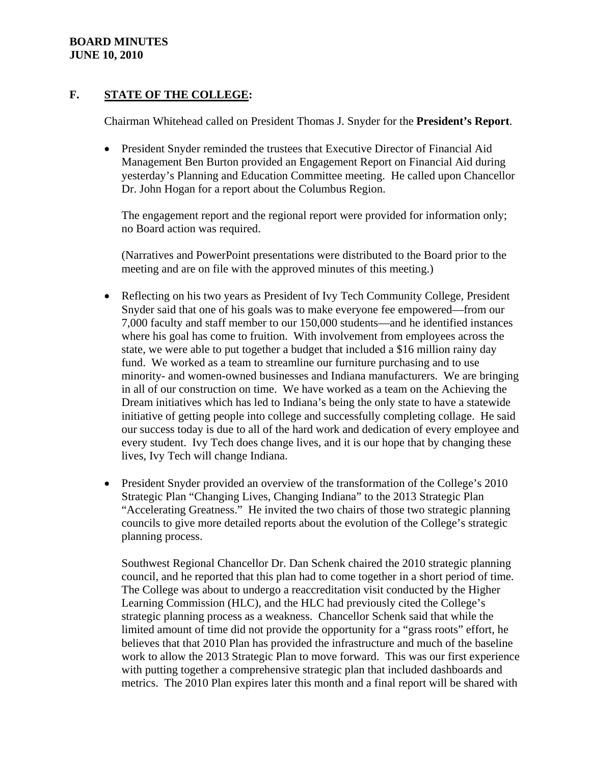## **F. STATE OF THE COLLEGE:**

Chairman Whitehead called on President Thomas J. Snyder for the **President's Report**.

• President Snyder reminded the trustees that Executive Director of Financial Aid Management Ben Burton provided an Engagement Report on Financial Aid during yesterday's Planning and Education Committee meeting. He called upon Chancellor Dr. John Hogan for a report about the Columbus Region.

The engagement report and the regional report were provided for information only; no Board action was required.

(Narratives and PowerPoint presentations were distributed to the Board prior to the meeting and are on file with the approved minutes of this meeting.)

- Reflecting on his two years as President of Ivy Tech Community College, President Snyder said that one of his goals was to make everyone fee empowered—from our 7,000 faculty and staff member to our 150,000 students—and he identified instances where his goal has come to fruition. With involvement from employees across the state, we were able to put together a budget that included a \$16 million rainy day fund. We worked as a team to streamline our furniture purchasing and to use minority- and women-owned businesses and Indiana manufacturers. We are bringing in all of our construction on time. We have worked as a team on the Achieving the Dream initiatives which has led to Indiana's being the only state to have a statewide initiative of getting people into college and successfully completing collage. He said our success today is due to all of the hard work and dedication of every employee and every student. Ivy Tech does change lives, and it is our hope that by changing these lives, Ivy Tech will change Indiana.
- President Snyder provided an overview of the transformation of the College's 2010 Strategic Plan "Changing Lives, Changing Indiana" to the 2013 Strategic Plan "Accelerating Greatness." He invited the two chairs of those two strategic planning councils to give more detailed reports about the evolution of the College's strategic planning process.

Southwest Regional Chancellor Dr. Dan Schenk chaired the 2010 strategic planning council, and he reported that this plan had to come together in a short period of time. The College was about to undergo a reaccreditation visit conducted by the Higher Learning Commission (HLC), and the HLC had previously cited the College's strategic planning process as a weakness. Chancellor Schenk said that while the limited amount of time did not provide the opportunity for a "grass roots" effort, he believes that that 2010 Plan has provided the infrastructure and much of the baseline work to allow the 2013 Strategic Plan to move forward. This was our first experience with putting together a comprehensive strategic plan that included dashboards and metrics. The 2010 Plan expires later this month and a final report will be shared with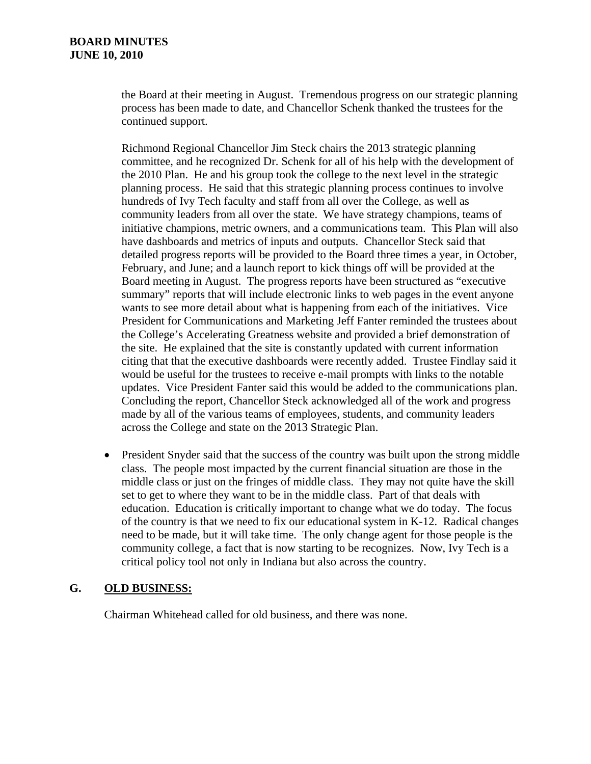the Board at their meeting in August. Tremendous progress on our strategic planning process has been made to date, and Chancellor Schenk thanked the trustees for the continued support.

Richmond Regional Chancellor Jim Steck chairs the 2013 strategic planning committee, and he recognized Dr. Schenk for all of his help with the development of the 2010 Plan. He and his group took the college to the next level in the strategic planning process. He said that this strategic planning process continues to involve hundreds of Ivy Tech faculty and staff from all over the College, as well as community leaders from all over the state. We have strategy champions, teams of initiative champions, metric owners, and a communications team. This Plan will also have dashboards and metrics of inputs and outputs. Chancellor Steck said that detailed progress reports will be provided to the Board three times a year, in October, February, and June; and a launch report to kick things off will be provided at the Board meeting in August. The progress reports have been structured as "executive summary" reports that will include electronic links to web pages in the event anyone wants to see more detail about what is happening from each of the initiatives. Vice President for Communications and Marketing Jeff Fanter reminded the trustees about the College's Accelerating Greatness website and provided a brief demonstration of the site. He explained that the site is constantly updated with current information citing that that the executive dashboards were recently added. Trustee Findlay said it would be useful for the trustees to receive e-mail prompts with links to the notable updates. Vice President Fanter said this would be added to the communications plan. Concluding the report, Chancellor Steck acknowledged all of the work and progress made by all of the various teams of employees, students, and community leaders across the College and state on the 2013 Strategic Plan.

• President Snyder said that the success of the country was built upon the strong middle class. The people most impacted by the current financial situation are those in the middle class or just on the fringes of middle class. They may not quite have the skill set to get to where they want to be in the middle class. Part of that deals with education. Education is critically important to change what we do today. The focus of the country is that we need to fix our educational system in K-12. Radical changes need to be made, but it will take time. The only change agent for those people is the community college, a fact that is now starting to be recognizes. Now, Ivy Tech is a critical policy tool not only in Indiana but also across the country.

## **G. OLD BUSINESS:**

Chairman Whitehead called for old business, and there was none.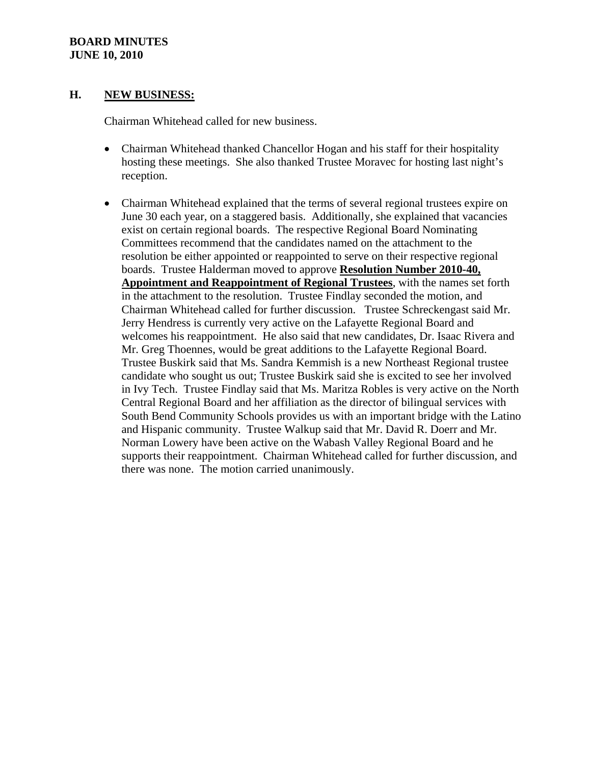## **H. NEW BUSINESS:**

Chairman Whitehead called for new business.

- Chairman Whitehead thanked Chancellor Hogan and his staff for their hospitality hosting these meetings. She also thanked Trustee Moravec for hosting last night's reception.
- Chairman Whitehead explained that the terms of several regional trustees expire on June 30 each year, on a staggered basis. Additionally, she explained that vacancies exist on certain regional boards. The respective Regional Board Nominating Committees recommend that the candidates named on the attachment to the resolution be either appointed or reappointed to serve on their respective regional boards. Trustee Halderman moved to approve **Resolution Number 2010-40, Appointment and Reappointment of Regional Trustees**, with the names set forth in the attachment to the resolution. Trustee Findlay seconded the motion, and Chairman Whitehead called for further discussion. Trustee Schreckengast said Mr. Jerry Hendress is currently very active on the Lafayette Regional Board and welcomes his reappointment. He also said that new candidates, Dr. Isaac Rivera and Mr. Greg Thoennes, would be great additions to the Lafayette Regional Board. Trustee Buskirk said that Ms. Sandra Kemmish is a new Northeast Regional trustee candidate who sought us out; Trustee Buskirk said she is excited to see her involved in Ivy Tech. Trustee Findlay said that Ms. Maritza Robles is very active on the North Central Regional Board and her affiliation as the director of bilingual services with South Bend Community Schools provides us with an important bridge with the Latino and Hispanic community. Trustee Walkup said that Mr. David R. Doerr and Mr. Norman Lowery have been active on the Wabash Valley Regional Board and he supports their reappointment. Chairman Whitehead called for further discussion, and there was none. The motion carried unanimously.